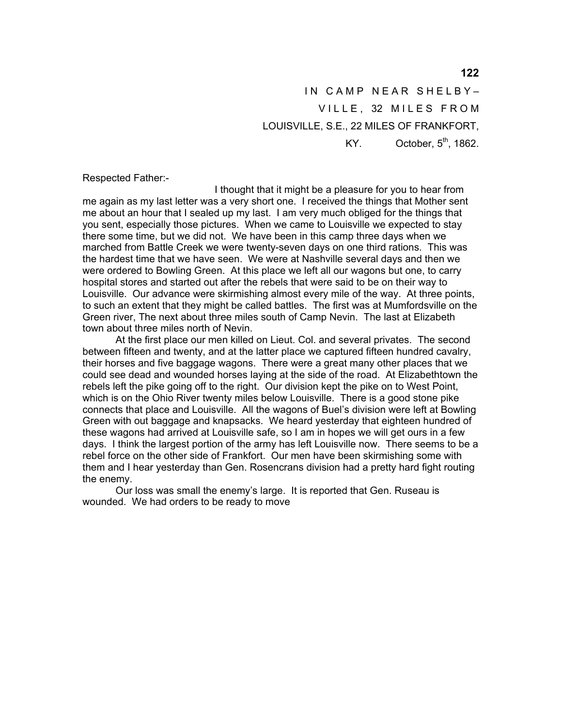IN CAMP NEAR SHELBY-VILLE. 32 MILES FROM LOUISVILLE, S.E., 22 MILES OF FRANKFORT, KY. October,  $5<sup>th</sup>$ , 1862.

Respected Father:-

 I thought that it might be a pleasure for you to hear from me again as my last letter was a very short one. I received the things that Mother sent me about an hour that I sealed up my last. I am very much obliged for the things that you sent, especially those pictures. When we came to Louisville we expected to stay there some time, but we did not. We have been in this camp three days when we marched from Battle Creek we were twenty-seven days on one third rations. This was the hardest time that we have seen. We were at Nashville several days and then we were ordered to Bowling Green. At this place we left all our wagons but one, to carry hospital stores and started out after the rebels that were said to be on their way to Louisville. Our advance were skirmishing almost every mile of the way. At three points, to such an extent that they might be called battles. The first was at Mumfordsville on the Green river, The next about three miles south of Camp Nevin. The last at Elizabeth town about three miles north of Nevin.

 At the first place our men killed on Lieut. Col. and several privates. The second between fifteen and twenty, and at the latter place we captured fifteen hundred cavalry, their horses and five baggage wagons. There were a great many other places that we could see dead and wounded horses laying at the side of the road. At Elizabethtown the rebels left the pike going off to the right. Our division kept the pike on to West Point, which is on the Ohio River twenty miles below Louisville. There is a good stone pike connects that place and Louisville. All the wagons of Buel's division were left at Bowling Green with out baggage and knapsacks. We heard yesterday that eighteen hundred of these wagons had arrived at Louisville safe, so I am in hopes we will get ours in a few days. I think the largest portion of the army has left Louisville now. There seems to be a rebel force on the other side of Frankfort. Our men have been skirmishing some with them and I hear yesterday than Gen. Rosencrans division had a pretty hard fight routing the enemy.

 Our loss was small the enemy's large. It is reported that Gen. Ruseau is wounded. We had orders to be ready to move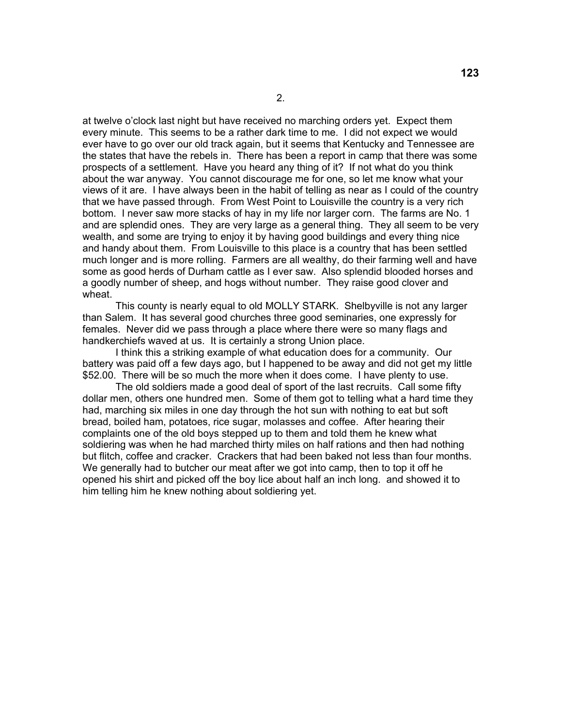at twelve o'clock last night but have received no marching orders yet. Expect them every minute. This seems to be a rather dark time to me. I did not expect we would ever have to go over our old track again, but it seems that Kentucky and Tennessee are the states that have the rebels in. There has been a report in camp that there was some prospects of a settlement. Have you heard any thing of it? If not what do you think about the war anyway. You cannot discourage me for one, so let me know what your views of it are. I have always been in the habit of telling as near as I could of the country that we have passed through. From West Point to Louisville the country is a very rich bottom. I never saw more stacks of hay in my life nor larger corn. The farms are No. 1 and are splendid ones. They are very large as a general thing. They all seem to be very wealth, and some are trying to enjoy it by having good buildings and every thing nice and handy about them. From Louisville to this place is a country that has been settled much longer and is more rolling. Farmers are all wealthy, do their farming well and have some as good herds of Durham cattle as I ever saw. Also splendid blooded horses and a goodly number of sheep, and hogs without number. They raise good clover and wheat.

 This county is nearly equal to old MOLLY STARK. Shelbyville is not any larger than Salem. It has several good churches three good seminaries, one expressly for females. Never did we pass through a place where there were so many flags and handkerchiefs waved at us. It is certainly a strong Union place.

 I think this a striking example of what education does for a community. Our battery was paid off a few days ago, but I happened to be away and did not get my little \$52.00. There will be so much the more when it does come. I have plenty to use.

 The old soldiers made a good deal of sport of the last recruits. Call some fifty dollar men, others one hundred men. Some of them got to telling what a hard time they had, marching six miles in one day through the hot sun with nothing to eat but soft bread, boiled ham, potatoes, rice sugar, molasses and coffee. After hearing their complaints one of the old boys stepped up to them and told them he knew what soldiering was when he had marched thirty miles on half rations and then had nothing but flitch, coffee and cracker. Crackers that had been baked not less than four months. We generally had to butcher our meat after we got into camp, then to top it off he opened his shirt and picked off the boy lice about half an inch long. and showed it to him telling him he knew nothing about soldiering yet.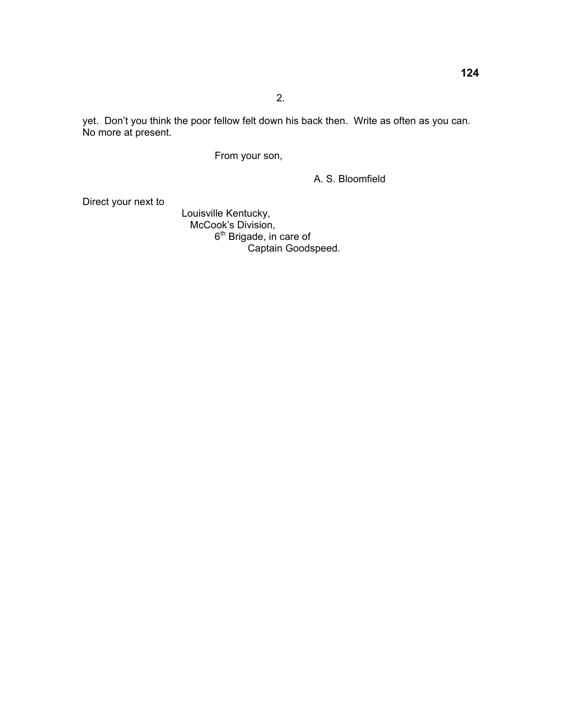yet. Don't you think the poor fellow felt down his back then. Write as often as you can. No more at present.

From your son,

A. S. Bloomfield

Direct your next to

 Louisville Kentucky, **McCook's Division,**  $6<sup>th</sup>$  Brigade, in care of **Captain Goodspeed.**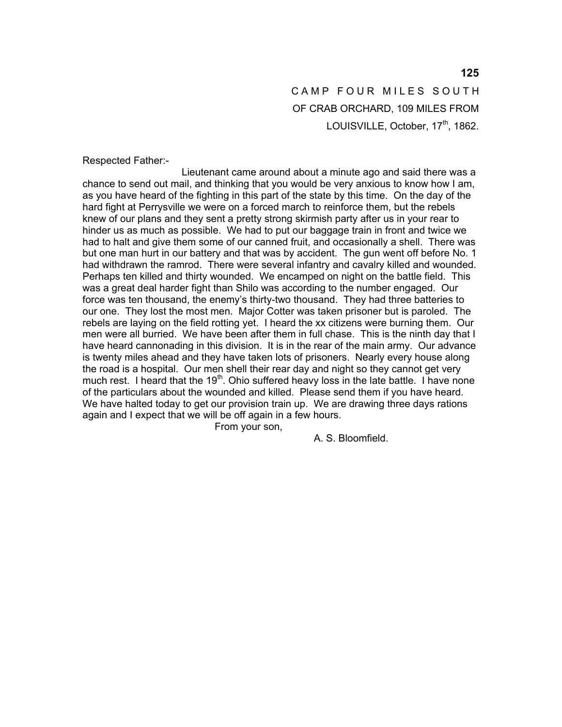## CAMP FOUR MILES SOUTH OF CRAB ORCHARD, 109 MILES FROM LOUISVILLE, October, 17<sup>th</sup>, 1862.

Respected Father:-

 Lieutenant came around about a minute ago and said there was a chance to send out mail, and thinking that you would be very anxious to know how I am, as you have heard of the fighting in this part of the state by this time. On the day of the hard fight at Perrysville we were on a forced march to reinforce them, but the rebels knew of our plans and they sent a pretty strong skirmish party after us in your rear to hinder us as much as possible. We had to put our baggage train in front and twice we had to halt and give them some of our canned fruit, and occasionally a shell. There was but one man hurt in our battery and that was by accident. The gun went off before No. 1 had withdrawn the ramrod. There were several infantry and cavalry killed and wounded. Perhaps ten killed and thirty wounded. We encamped on night on the battle field. This was a great deal harder fight than Shilo was according to the number engaged. Our force was ten thousand, the enemy's thirty-two thousand. They had three batteries to our one. They lost the most men. Major Cotter was taken prisoner but is paroled. The rebels are laying on the field rotting yet. I heard the xx citizens were burning them. Our men were all burried. We have been after them in full chase. This is the ninth day that I have heard cannonading in this division. It is in the rear of the main army. Our advance is twenty miles ahead and they have taken lots of prisoners. Nearly every house along the road is a hospital. Our men shell their rear day and night so they cannot get very much rest. I heard that the 19<sup>th</sup>. Ohio suffered heavy loss in the late battle. I have none of the particulars about the wounded and killed. Please send them if you have heard. We have halted today to get our provision train up. We are drawing three days rations again and I expect that we will be off again in a few hours.

From your son,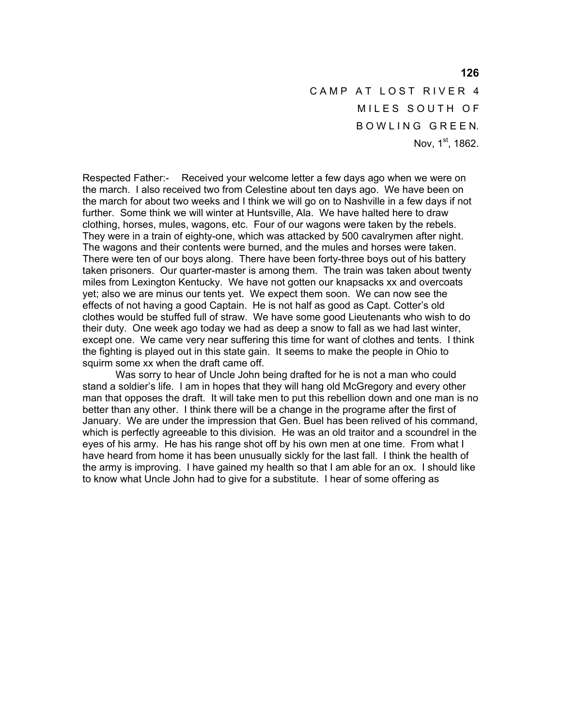CAMP AT LOST RIVER 4 MILES SOUTH OF BOWLING GREEN. Nov. 1st, 1862.

Respected Father:- Received your welcome letter a few days ago when we were on the march. I also received two from Celestine about ten days ago. We have been on the march for about two weeks and I think we will go on to Nashville in a few days if not further. Some think we will winter at Huntsville, Ala. We have halted here to draw clothing, horses, mules, wagons, etc. Four of our wagons were taken by the rebels. They were in a train of eighty-one, which was attacked by 500 cavalrymen after night. The wagons and their contents were burned, and the mules and horses were taken. There were ten of our boys along. There have been forty-three boys out of his battery taken prisoners. Our quarter-master is among them. The train was taken about twenty miles from Lexington Kentucky. We have not gotten our knapsacks xx and overcoats yet; also we are minus our tents yet. We expect them soon. We can now see the effects of not having a good Captain. He is not half as good as Capt. Cotter's old clothes would be stuffed full of straw. We have some good Lieutenants who wish to do their duty. One week ago today we had as deep a snow to fall as we had last winter, except one. We came very near suffering this time for want of clothes and tents. I think the fighting is played out in this state gain. It seems to make the people in Ohio to squirm some xx when the draft came off.

 Was sorry to hear of Uncle John being drafted for he is not a man who could stand a soldier's life. I am in hopes that they will hang old McGregory and every other man that opposes the draft. It will take men to put this rebellion down and one man is no better than any other. I think there will be a change in the programe after the first of January. We are under the impression that Gen. Buel has been relived of his command, which is perfectly agreeable to this division. He was an old traitor and a scoundrel in the eyes of his army. He has his range shot off by his own men at one time. From what I have heard from home it has been unusually sickly for the last fall. I think the health of the army is improving. I have gained my health so that I am able for an ox. I should like to know what Uncle John had to give for a substitute. I hear of some offering as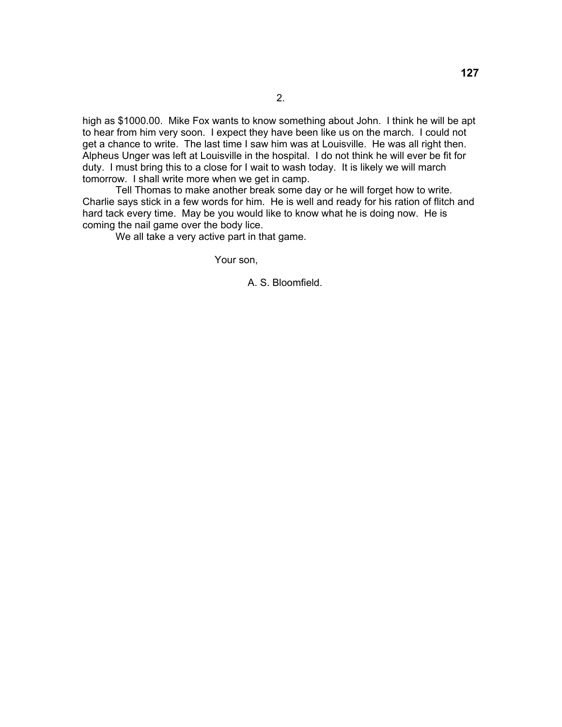high as \$1000.00. Mike Fox wants to know something about John. I think he will be apt to hear from him very soon. I expect they have been like us on the march. I could not get a chance to write. The last time I saw him was at Louisville. He was all right then. Alpheus Unger was left at Louisville in the hospital. I do not think he will ever be fit for duty. I must bring this to a close for I wait to wash today. It is likely we will march tomorrow. I shall write more when we get in camp.

 Tell Thomas to make another break some day or he will forget how to write. Charlie says stick in a few words for him. He is well and ready for his ration of flitch and hard tack every time. May be you would like to know what he is doing now. He is coming the nail game over the body lice.

We all take a very active part in that game.

Your son,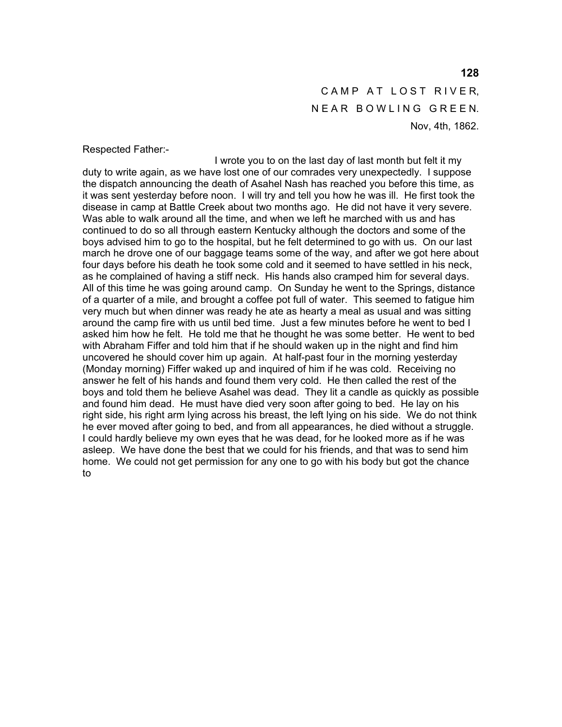CAMP AT LOST RIVER, NEAR BOWLING GREEN. Nov, 4th, 1862.

Respected Father:-

 I wrote you to on the last day of last month but felt it my duty to write again, as we have lost one of our comrades very unexpectedly. I suppose the dispatch announcing the death of Asahel Nash has reached you before this time, as it was sent yesterday before noon. I will try and tell you how he was ill. He first took the disease in camp at Battle Creek about two months ago. He did not have it very severe. Was able to walk around all the time, and when we left he marched with us and has continued to do so all through eastern Kentucky although the doctors and some of the boys advised him to go to the hospital, but he felt determined to go with us. On our last march he drove one of our baggage teams some of the way, and after we got here about four days before his death he took some cold and it seemed to have settled in his neck, as he complained of having a stiff neck. His hands also cramped him for several days. All of this time he was going around camp. On Sunday he went to the Springs, distance of a quarter of a mile, and brought a coffee pot full of water. This seemed to fatigue him very much but when dinner was ready he ate as hearty a meal as usual and was sitting around the camp fire with us until bed time. Just a few minutes before he went to bed I asked him how he felt. He told me that he thought he was some better. He went to bed with Abraham Fiffer and told him that if he should waken up in the night and find him uncovered he should cover him up again. At half-past four in the morning yesterday (Monday morning) Fiffer waked up and inquired of him if he was cold. Receiving no answer he felt of his hands and found them very cold. He then called the rest of the boys and told them he believe Asahel was dead. They lit a candle as quickly as possible and found him dead. He must have died very soon after going to bed. He lay on his right side, his right arm lying across his breast, the left lying on his side. We do not think he ever moved after going to bed, and from all appearances, he died without a struggle. I could hardly believe my own eyes that he was dead, for he looked more as if he was asleep. We have done the best that we could for his friends, and that was to send him home. We could not get permission for any one to go with his body but got the chance to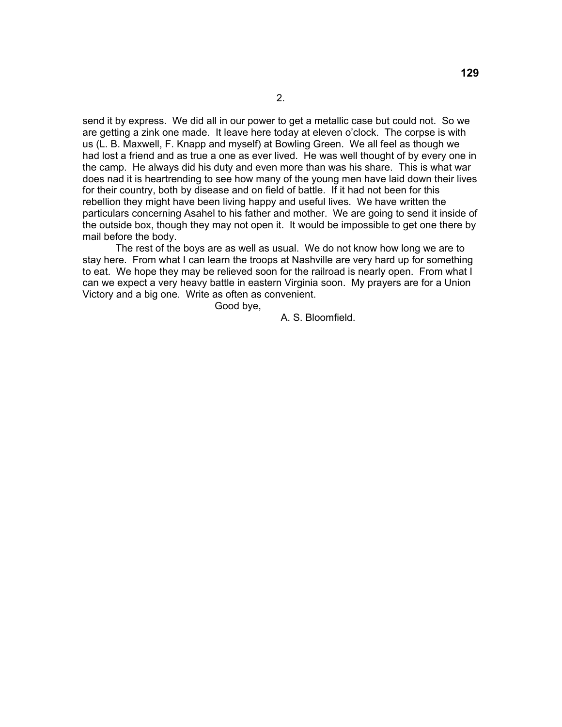send it by express. We did all in our power to get a metallic case but could not. So we are getting a zink one made. It leave here today at eleven o'clock. The corpse is with us (L. B. Maxwell, F. Knapp and myself) at Bowling Green. We all feel as though we had lost a friend and as true a one as ever lived. He was well thought of by every one in the camp. He always did his duty and even more than was his share. This is what war does nad it is heartrending to see how many of the young men have laid down their lives for their country, both by disease and on field of battle. If it had not been for this rebellion they might have been living happy and useful lives. We have written the particulars concerning Asahel to his father and mother. We are going to send it inside of the outside box, though they may not open it. It would be impossible to get one there by mail before the body.

 The rest of the boys are as well as usual. We do not know how long we are to stay here. From what I can learn the troops at Nashville are very hard up for something to eat. We hope they may be relieved soon for the railroad is nearly open. From what I can we expect a very heavy battle in eastern Virginia soon. My prayers are for a Union Victory and a big one. Write as often as convenient.

Good bye,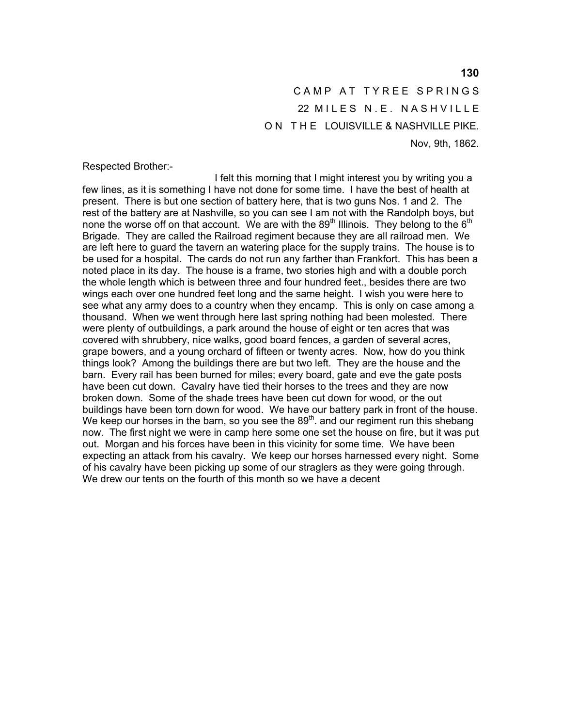CAMP AT TYREE SPRINGS 22 MILES N.E. NASHVILLE ON THE LOUISVILLE & NASHVILLE PIKE. Nov, 9th, 1862.

Respected Brother:-

 I felt this morning that I might interest you by writing you a few lines, as it is something I have not done for some time. I have the best of health at present. There is but one section of battery here, that is two guns Nos. 1 and 2. The rest of the battery are at Nashville, so you can see I am not with the Randolph boys, but none the worse off on that account. We are with the 89<sup>th</sup> Illinois. They belong to the  $6<sup>th</sup>$ Brigade. They are called the Railroad regiment because they are all railroad men. We are left here to guard the tavern an watering place for the supply trains. The house is to be used for a hospital. The cards do not run any farther than Frankfort. This has been a noted place in its day. The house is a frame, two stories high and with a double porch the whole length which is between three and four hundred feet., besides there are two wings each over one hundred feet long and the same height. I wish you were here to see what any army does to a country when they encamp. This is only on case among a thousand. When we went through here last spring nothing had been molested. There were plenty of outbuildings, a park around the house of eight or ten acres that was covered with shrubbery, nice walks, good board fences, a garden of several acres, grape bowers, and a young orchard of fifteen or twenty acres. Now, how do you think things look? Among the buildings there are but two left. They are the house and the barn. Every rail has been burned for miles; every board, gate and eve the gate posts have been cut down. Cavalry have tied their horses to the trees and they are now broken down. Some of the shade trees have been cut down for wood, or the out buildings have been torn down for wood. We have our battery park in front of the house. We keep our horses in the barn, so you see the  $89<sup>th</sup>$ . and our regiment run this shebang now. The first night we were in camp here some one set the house on fire, but it was put out. Morgan and his forces have been in this vicinity for some time. We have been expecting an attack from his cavalry. We keep our horses harnessed every night. Some of his cavalry have been picking up some of our straglers as they were going through. We drew our tents on the fourth of this month so we have a decent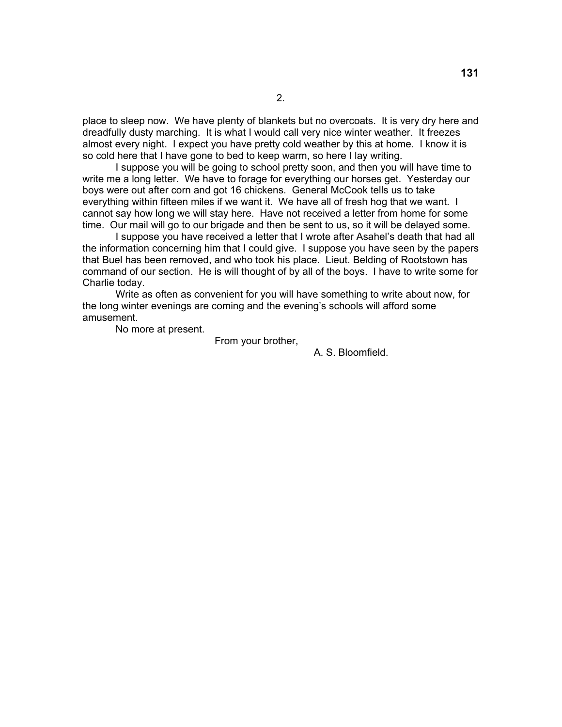place to sleep now. We have plenty of blankets but no overcoats. It is very dry here and dreadfully dusty marching. It is what I would call very nice winter weather. It freezes almost every night. I expect you have pretty cold weather by this at home. I know it is so cold here that I have gone to bed to keep warm, so here I lay writing.

 I suppose you will be going to school pretty soon, and then you will have time to write me a long letter. We have to forage for everything our horses get. Yesterday our boys were out after corn and got 16 chickens. General McCook tells us to take everything within fifteen miles if we want it. We have all of fresh hog that we want. I cannot say how long we will stay here. Have not received a letter from home for some time. Our mail will go to our brigade and then be sent to us, so it will be delayed some.

 I suppose you have received a letter that I wrote after Asahel's death that had all the information concerning him that I could give. I suppose you have seen by the papers that Buel has been removed, and who took his place. Lieut. Belding of Rootstown has command of our section. He is will thought of by all of the boys. I have to write some for Charlie today.

 Write as often as convenient for you will have something to write about now, for the long winter evenings are coming and the evening's schools will afford some amusement.

No more at present.

From your brother,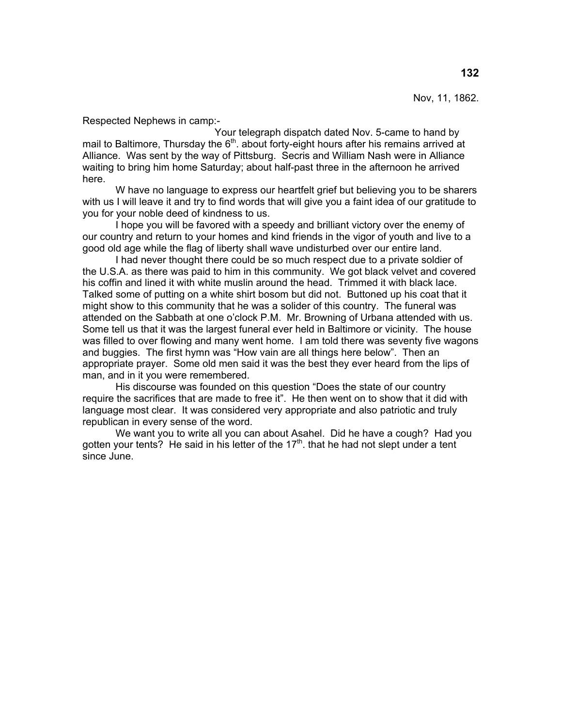Nov, 11, 1862.

Respected Nephews in camp:-

 Your telegraph dispatch dated Nov. 5-came to hand by mail to Baltimore, Thursday the  $6<sup>th</sup>$ . about forty-eight hours after his remains arrived at Alliance. Was sent by the way of Pittsburg. Secris and William Nash were in Alliance waiting to bring him home Saturday; about half-past three in the afternoon he arrived here.

 W have no language to express our heartfelt grief but believing you to be sharers with us I will leave it and try to find words that will give you a faint idea of our gratitude to you for your noble deed of kindness to us.

 I hope you will be favored with a speedy and brilliant victory over the enemy of our country and return to your homes and kind friends in the vigor of youth and live to a good old age while the flag of liberty shall wave undisturbed over our entire land.

 I had never thought there could be so much respect due to a private soldier of the U.S.A. as there was paid to him in this community. We got black velvet and covered his coffin and lined it with white muslin around the head. Trimmed it with black lace. Talked some of putting on a white shirt bosom but did not. Buttoned up his coat that it might show to this community that he was a solider of this country. The funeral was attended on the Sabbath at one o'clock P.M. Mr. Browning of Urbana attended with us. Some tell us that it was the largest funeral ever held in Baltimore or vicinity. The house was filled to over flowing and many went home. I am told there was seventy five wagons and buggies. The first hymn was "How vain are all things here below". Then an appropriate prayer. Some old men said it was the best they ever heard from the lips of man, and in it you were remembered.

 His discourse was founded on this question "Does the state of our country require the sacrifices that are made to free it". He then went on to show that it did with language most clear. It was considered very appropriate and also patriotic and truly republican in every sense of the word.

 We want you to write all you can about Asahel. Did he have a cough? Had you gotten your tents? He said in his letter of the  $17<sup>th</sup>$ . that he had not slept under a tent since June.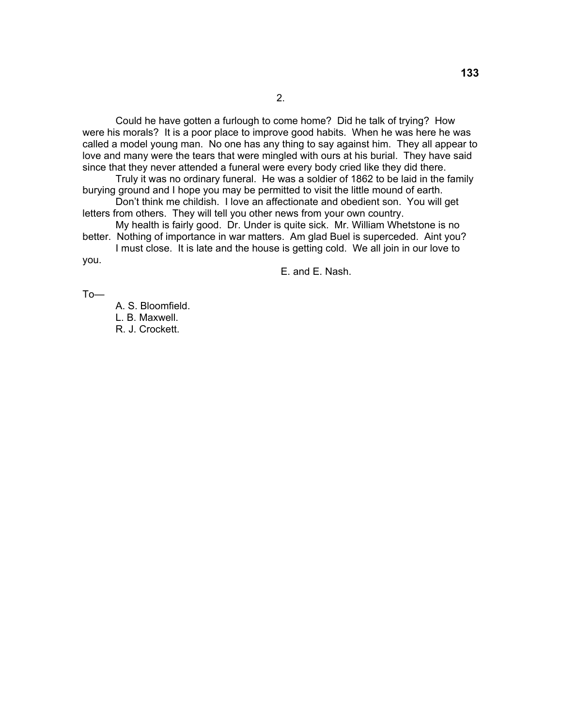Could he have gotten a furlough to come home? Did he talk of trying? How were his morals? It is a poor place to improve good habits. When he was here he was called a model young man. No one has any thing to say against him. They all appear to love and many were the tears that were mingled with ours at his burial. They have said since that they never attended a funeral were every body cried like they did there.

 Truly it was no ordinary funeral. He was a soldier of 1862 to be laid in the family burying ground and I hope you may be permitted to visit the little mound of earth.

 Don't think me childish. I love an affectionate and obedient son. You will get letters from others. They will tell you other news from your own country.

 My health is fairly good. Dr. Under is quite sick. Mr. William Whetstone is no better. Nothing of importance in war matters. Am glad Buel is superceded. Aint you?

 I must close. It is late and the house is getting cold. We all join in our love to you.

E. and E. Nash.

To—

A. S. Bloomfield. L. B. Maxwell. R. J. Crockett.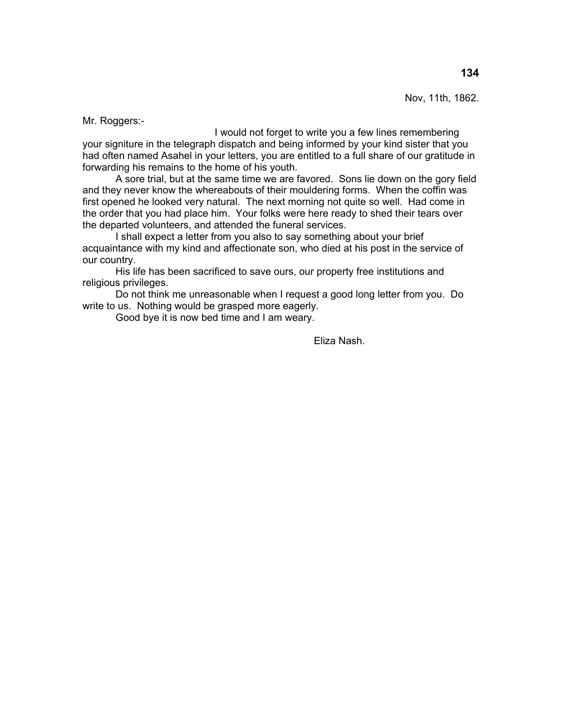Nov, 11th, 1862.

Mr. Roggers:-

 I would not forget to write you a few lines remembering your signiture in the telegraph dispatch and being informed by your kind sister that you had often named Asahel in your letters, you are entitled to a full share of our gratitude in forwarding his remains to the home of his youth.

 A sore trial, but at the same time we are favored. Sons lie down on the gory field and they never know the whereabouts of their mouldering forms. When the coffin was first opened he looked very natural. The next morning not quite so well. Had come in the order that you had place him. Your folks were here ready to shed their tears over the departed volunteers, and attended the funeral services.

 I shall expect a letter from you also to say something about your brief acquaintance with my kind and affectionate son, who died at his post in the service of our country.

 His life has been sacrificed to save ours, our property free institutions and religious privileges.

 Do not think me unreasonable when I request a good long letter from you. Do write to us. Nothing would be grasped more eagerly.

Good bye it is now bed time and I am weary.

Eliza Nash.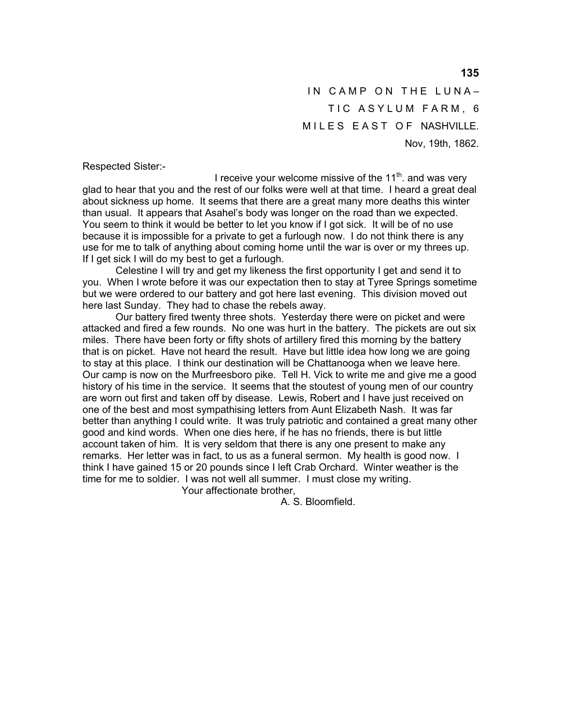IN CAMP ON THE LUNA-TIC ASYLUM FARM, 6 MILES EAST OF NASHVILLE. Nov, 19th, 1862.

Respected Sister:-

I receive your welcome missive of the  $11<sup>th</sup>$ . and was very glad to hear that you and the rest of our folks were well at that time. I heard a great deal about sickness up home. It seems that there are a great many more deaths this winter than usual. It appears that Asahel's body was longer on the road than we expected. You seem to think it would be better to let you know if I got sick. It will be of no use because it is impossible for a private to get a furlough now. I do not think there is any use for me to talk of anything about coming home until the war is over or my threes up. If I get sick I will do my best to get a furlough.

 Celestine I will try and get my likeness the first opportunity I get and send it to you. When I wrote before it was our expectation then to stay at Tyree Springs sometime but we were ordered to our battery and got here last evening. This division moved out here last Sunday. They had to chase the rebels away.

 Our battery fired twenty three shots. Yesterday there were on picket and were attacked and fired a few rounds. No one was hurt in the battery. The pickets are out six miles. There have been forty or fifty shots of artillery fired this morning by the battery that is on picket. Have not heard the result. Have but little idea how long we are going to stay at this place. I think our destination will be Chattanooga when we leave here. Our camp is now on the Murfreesboro pike. Tell H. Vick to write me and give me a good history of his time in the service. It seems that the stoutest of young men of our country are worn out first and taken off by disease. Lewis, Robert and I have just received on one of the best and most sympathising letters from Aunt Elizabeth Nash. It was far better than anything I could write. It was truly patriotic and contained a great many other good and kind words. When one dies here, if he has no friends, there is but little account taken of him. It is very seldom that there is any one present to make any remarks. Her letter was in fact, to us as a funeral sermon. My health is good now. I think I have gained 15 or 20 pounds since I left Crab Orchard. Winter weather is the time for me to soldier. I was not well all summer. I must close my writing.

Your affectionate brother,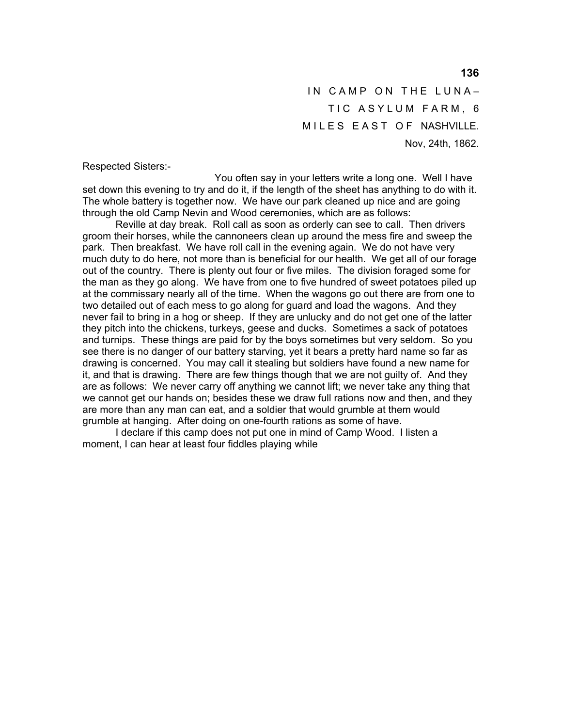IN CAMP ON THE LUNA-TIC ASYLUM FARM, 6 MILES EAST OF NASHVILLE. Nov, 24th, 1862.

Respected Sisters:-

 You often say in your letters write a long one. Well I have set down this evening to try and do it, if the length of the sheet has anything to do with it. The whole battery is together now. We have our park cleaned up nice and are going through the old Camp Nevin and Wood ceremonies, which are as follows:

 Reville at day break. Roll call as soon as orderly can see to call. Then drivers groom their horses, while the cannoneers clean up around the mess fire and sweep the park. Then breakfast. We have roll call in the evening again. We do not have very much duty to do here, not more than is beneficial for our health. We get all of our forage out of the country. There is plenty out four or five miles. The division foraged some for the man as they go along. We have from one to five hundred of sweet potatoes piled up at the commissary nearly all of the time. When the wagons go out there are from one to two detailed out of each mess to go along for guard and load the wagons. And they never fail to bring in a hog or sheep. If they are unlucky and do not get one of the latter they pitch into the chickens, turkeys, geese and ducks. Sometimes a sack of potatoes and turnips. These things are paid for by the boys sometimes but very seldom. So you see there is no danger of our battery starving, yet it bears a pretty hard name so far as drawing is concerned. You may call it stealing but soldiers have found a new name for it, and that is drawing. There are few things though that we are not guilty of. And they are as follows: We never carry off anything we cannot lift; we never take any thing that we cannot get our hands on; besides these we draw full rations now and then, and they are more than any man can eat, and a soldier that would grumble at them would grumble at hanging. After doing on one-fourth rations as some of have.

 I declare if this camp does not put one in mind of Camp Wood. I listen a moment, I can hear at least four fiddles playing while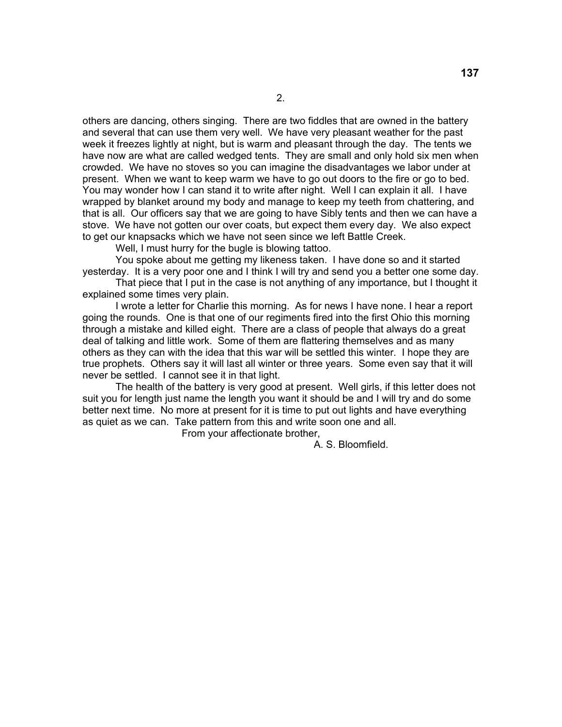others are dancing, others singing. There are two fiddles that are owned in the battery and several that can use them very well. We have very pleasant weather for the past week it freezes lightly at night, but is warm and pleasant through the day. The tents we have now are what are called wedged tents. They are small and only hold six men when crowded. We have no stoves so you can imagine the disadvantages we labor under at present. When we want to keep warm we have to go out doors to the fire or go to bed. You may wonder how I can stand it to write after night. Well I can explain it all. I have wrapped by blanket around my body and manage to keep my teeth from chattering, and that is all. Our officers say that we are going to have Sibly tents and then we can have a stove. We have not gotten our over coats, but expect them every day. We also expect to get our knapsacks which we have not seen since we left Battle Creek.

Well, I must hurry for the bugle is blowing tattoo.

 You spoke about me getting my likeness taken. I have done so and it started yesterday. It is a very poor one and I think I will try and send you a better one some day.

 That piece that I put in the case is not anything of any importance, but I thought it explained some times very plain.

 I wrote a letter for Charlie this morning. As for news I have none. I hear a report going the rounds. One is that one of our regiments fired into the first Ohio this morning through a mistake and killed eight. There are a class of people that always do a great deal of talking and little work. Some of them are flattering themselves and as many others as they can with the idea that this war will be settled this winter. I hope they are true prophets. Others say it will last all winter or three years. Some even say that it will never be settled. I cannot see it in that light.

 The health of the battery is very good at present. Well girls, if this letter does not suit you for length just name the length you want it should be and I will try and do some better next time. No more at present for it is time to put out lights and have everything as quiet as we can. Take pattern from this and write soon one and all.

From your affectionate brother,

A. S. Bloomfield.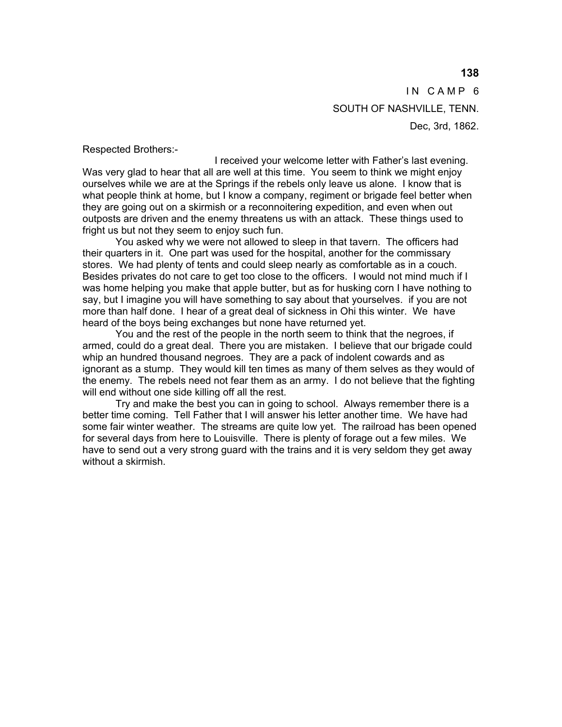IN CAMP 6 SOUTH OF NASHVILLE, TENN. Dec, 3rd, 1862.

Respected Brothers:-

 I received your welcome letter with Father's last evening. Was very glad to hear that all are well at this time. You seem to think we might enjoy ourselves while we are at the Springs if the rebels only leave us alone. I know that is what people think at home, but I know a company, regiment or brigade feel better when they are going out on a skirmish or a reconnoitering expedition, and even when out outposts are driven and the enemy threatens us with an attack. These things used to fright us but not they seem to enjoy such fun.

 You asked why we were not allowed to sleep in that tavern. The officers had their quarters in it. One part was used for the hospital, another for the commissary stores. We had plenty of tents and could sleep nearly as comfortable as in a couch. Besides privates do not care to get too close to the officers. I would not mind much if I was home helping you make that apple butter, but as for husking corn I have nothing to say, but I imagine you will have something to say about that yourselves. if you are not more than half done. I hear of a great deal of sickness in Ohi this winter. We have heard of the boys being exchanges but none have returned yet.

 You and the rest of the people in the north seem to think that the negroes, if armed, could do a great deal. There you are mistaken. I believe that our brigade could whip an hundred thousand negroes. They are a pack of indolent cowards and as ignorant as a stump. They would kill ten times as many of them selves as they would of the enemy. The rebels need not fear them as an army. I do not believe that the fighting will end without one side killing off all the rest.

 Try and make the best you can in going to school. Always remember there is a better time coming. Tell Father that I will answer his letter another time. We have had some fair winter weather. The streams are quite low yet. The railroad has been opened for several days from here to Louisville. There is plenty of forage out a few miles. We have to send out a very strong guard with the trains and it is very seldom they get away without a skirmish.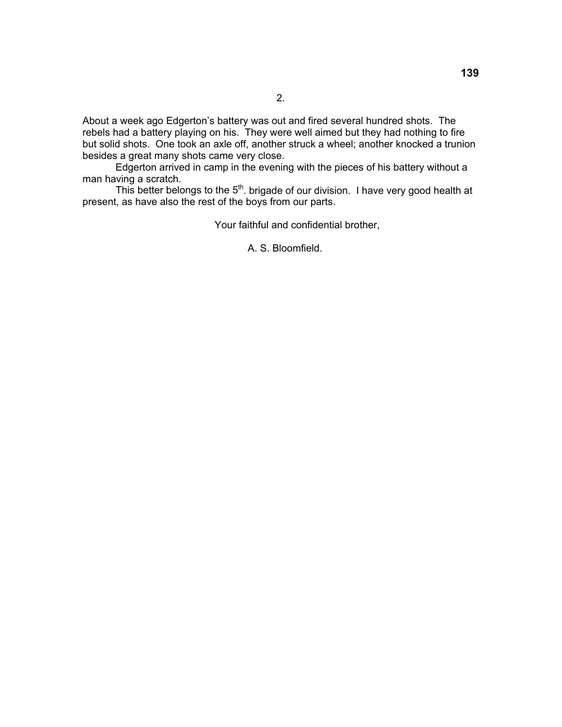About a week ago Edgerton's battery was out and fired several hundred shots. The rebels had a battery playing on his. They were well aimed but they had nothing to fire but solid shots. One took an axle off, another struck a wheel; another knocked a trunion besides a great many shots came very close.

 Edgerton arrived in camp in the evening with the pieces of his battery without a man having a scratch.

This better belongs to the  $5<sup>th</sup>$ . brigade of our division. I have very good health at present, as have also the rest of the boys from our parts.

Your faithful and confidential brother,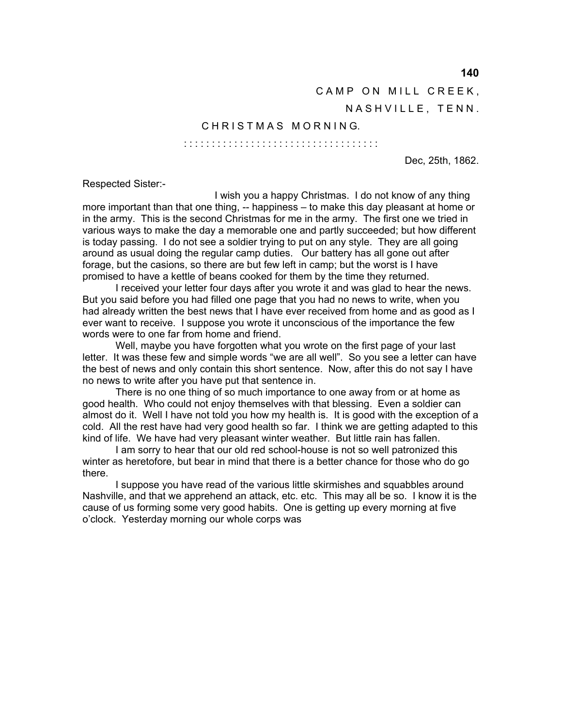**140** 

CAMP ON MILL CREEK,

NASHVILLE, TENN.

### CHRISTMAS MORNING.

: : : : : : : : : : : : : : : : : : : : : : : : : : : : : : : : : : :

Dec, 25th, 1862.

Respected Sister:-

 I wish you a happy Christmas. I do not know of any thing more important than that one thing, -- happiness – to make this day pleasant at home or in the army. This is the second Christmas for me in the army. The first one we tried in various ways to make the day a memorable one and partly succeeded; but how different is today passing. I do not see a soldier trying to put on any style. They are all going around as usual doing the regular camp duties. Our battery has all gone out after forage, but the casions, so there are but few left in camp; but the worst is I have promised to have a kettle of beans cooked for them by the time they returned.

 I received your letter four days after you wrote it and was glad to hear the news. But you said before you had filled one page that you had no news to write, when you had already written the best news that I have ever received from home and as good as I ever want to receive. I suppose you wrote it unconscious of the importance the few words were to one far from home and friend.

 Well, maybe you have forgotten what you wrote on the first page of your last letter. It was these few and simple words "we are all well". So you see a letter can have the best of news and only contain this short sentence. Now, after this do not say I have no news to write after you have put that sentence in.

 There is no one thing of so much importance to one away from or at home as good health. Who could not enjoy themselves with that blessing. Even a soldier can almost do it. Well I have not told you how my health is. It is good with the exception of a cold. All the rest have had very good health so far. I think we are getting adapted to this kind of life. We have had very pleasant winter weather. But little rain has fallen.

 I am sorry to hear that our old red school-house is not so well patronized this winter as heretofore, but bear in mind that there is a better chance for those who do go there.

 I suppose you have read of the various little skirmishes and squabbles around Nashville, and that we apprehend an attack, etc. etc. This may all be so. I know it is the cause of us forming some very good habits. One is getting up every morning at five o'clock. Yesterday morning our whole corps was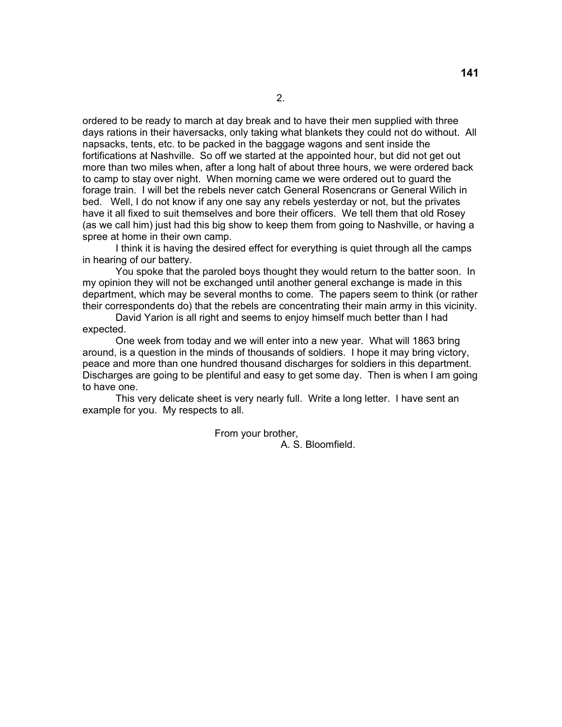ordered to be ready to march at day break and to have their men supplied with three days rations in their haversacks, only taking what blankets they could not do without. All napsacks, tents, etc. to be packed in the baggage wagons and sent inside the fortifications at Nashville. So off we started at the appointed hour, but did not get out more than two miles when, after a long halt of about three hours, we were ordered back to camp to stay over night. When morning came we were ordered out to guard the forage train. I will bet the rebels never catch General Rosencrans or General Wilich in bed. Well, I do not know if any one say any rebels yesterday or not, but the privates have it all fixed to suit themselves and bore their officers. We tell them that old Rosey (as we call him) just had this big show to keep them from going to Nashville, or having a spree at home in their own camp.

 I think it is having the desired effect for everything is quiet through all the camps in hearing of our battery.

 You spoke that the paroled boys thought they would return to the batter soon. In my opinion they will not be exchanged until another general exchange is made in this department, which may be several months to come. The papers seem to think (or rather their correspondents do) that the rebels are concentrating their main army in this vicinity.

 David Yarion is all right and seems to enjoy himself much better than I had expected.

 One week from today and we will enter into a new year. What will 1863 bring around, is a question in the minds of thousands of soldiers. I hope it may bring victory, peace and more than one hundred thousand discharges for soldiers in this department. Discharges are going to be plentiful and easy to get some day. Then is when I am going to have one.

 This very delicate sheet is very nearly full. Write a long letter. I have sent an example for you. My respects to all.

> From your brother, A. S. Bloomfield.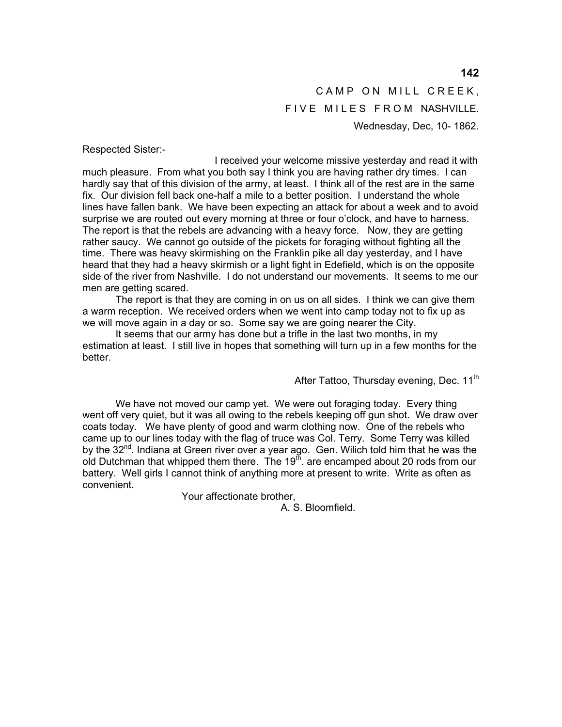## CAMP ON MILL CREEK, FIVE MILES FROM NASHVILLE. Wednesday, Dec, 10- 1862.

Respected Sister:-

 I received your welcome missive yesterday and read it with much pleasure. From what you both say I think you are having rather dry times. I can hardly say that of this division of the army, at least. I think all of the rest are in the same fix. Our division fell back one-half a mile to a better position. I understand the whole lines have fallen bank. We have been expecting an attack for about a week and to avoid surprise we are routed out every morning at three or four o'clock, and have to harness. The report is that the rebels are advancing with a heavy force. Now, they are getting rather saucy. We cannot go outside of the pickets for foraging without fighting all the time. There was heavy skirmishing on the Franklin pike all day yesterday, and I have heard that they had a heavy skirmish or a light fight in Edefield, which is on the opposite side of the river from Nashville. I do not understand our movements. It seems to me our men are getting scared.

 The report is that they are coming in on us on all sides. I think we can give them a warm reception. We received orders when we went into camp today not to fix up as we will move again in a day or so. Some say we are going nearer the City.

 It seems that our army has done but a trifle in the last two months, in my estimation at least. I still live in hopes that something will turn up in a few months for the better.

After Tattoo, Thursday evening, Dec. 11<sup>th</sup>

 We have not moved our camp yet. We were out foraging today. Every thing went off very quiet, but it was all owing to the rebels keeping off gun shot. We draw over coats today. We have plenty of good and warm clothing now. One of the rebels who came up to our lines today with the flag of truce was Col. Terry. Some Terry was killed by the 32<sup>nd</sup>. Indiana at Green river over a year ago. Gen. Wilich told him that he was the old Dutchman that whipped them there. The  $19<sup>th</sup>$  are encamped about 20 rods from our battery. Well girls I cannot think of anything more at present to write. Write as often as convenient.

Your affectionate brother,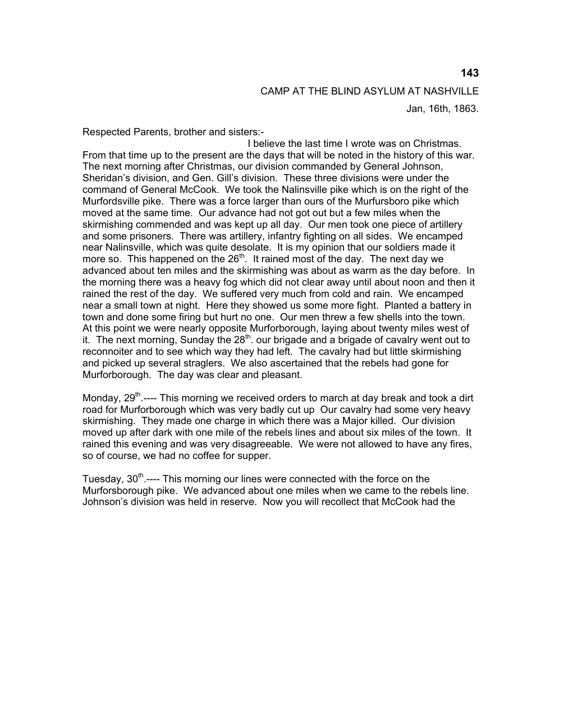Respected Parents, brother and sisters:-

 I believe the last time I wrote was on Christmas. From that time up to the present are the days that will be noted in the history of this war. The next morning after Christmas, our division commanded by General Johnson, Sheridan's division, and Gen. Gill's division. These three divisions were under the command of General McCook. We took the Nalinsville pike which is on the right of the Murfordsville pike. There was a force larger than ours of the Murfursboro pike which moved at the same time. Our advance had not got out but a few miles when the skirmishing commended and was kept up all day. Our men took one piece of artillery and some prisoners. There was artillery, infantry fighting on all sides. We encamped near Nalinsville, which was quite desolate. It is my opinion that our soldiers made it more so. This happened on the  $26<sup>th</sup>$ . It rained most of the day. The next day we advanced about ten miles and the skirmishing was about as warm as the day before. In the morning there was a heavy fog which did not clear away until about noon and then it rained the rest of the day. We suffered very much from cold and rain. We encamped near a small town at night. Here they showed us some more fight. Planted a battery in town and done some firing but hurt no one. Our men threw a few shells into the town. At this point we were nearly opposite Murforborough, laying about twenty miles west of it. The next morning, Sunday the  $28<sup>th</sup>$  our brigade and a brigade of cavalry went out to reconnoiter and to see which way they had left. The cavalry had but little skirmishing and picked up several straglers. We also ascertained that the rebels had gone for Murforborough. The day was clear and pleasant.

Monday,  $29^{th}$ ----- This morning we received orders to march at day break and took a dirt road for Murforborough which was very badly cut up Our cavalry had some very heavy skirmishing. They made one charge in which there was a Major killed. Our division moved up after dark with one mile of the rebels lines and about six miles of the town. It rained this evening and was very disagreeable. We were not allowed to have any fires, so of course, we had no coffee for supper.

Tuesday,  $30<sup>th</sup>$ ---- This morning our lines were connected with the force on the Murforsborough pike. We advanced about one miles when we came to the rebels line. Johnson's division was held in reserve. Now you will recollect that McCook had the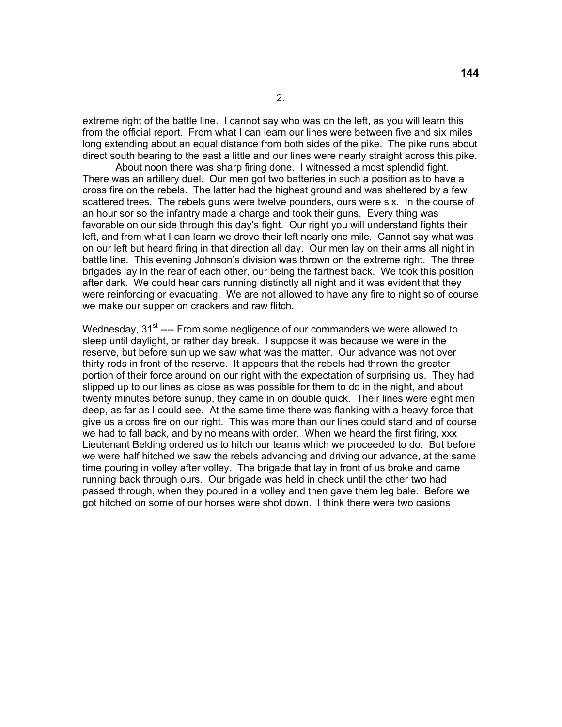extreme right of the battle line. I cannot say who was on the left, as you will learn this from the official report. From what I can learn our lines were between five and six miles long extending about an equal distance from both sides of the pike. The pike runs about direct south bearing to the east a little and our lines were nearly straight across this pike.

 About noon there was sharp firing done. I witnessed a most splendid fight. There was an artillery duel. Our men got two batteries in such a position as to have a cross fire on the rebels. The latter had the highest ground and was sheltered by a few scattered trees. The rebels guns were twelve pounders, ours were six. In the course of an hour sor so the infantry made a charge and took their guns. Every thing was favorable on our side through this day's fight. Our right you will understand fights their left, and from what I can learn we drove their left nearly one mile. Cannot say what was on our left but heard firing in that direction all day. Our men lay on their arms all night in battle line. This evening Johnson's division was thrown on the extreme right. The three brigades lay in the rear of each other, our being the farthest back. We took this position after dark. We could hear cars running distinctly all night and it was evident that they were reinforcing or evacuating. We are not allowed to have any fire to night so of course we make our supper on crackers and raw flitch.

Wednesday, 31<sup>st</sup>.---- From some negligence of our commanders we were allowed to sleep until daylight, or rather day break. I suppose it was because we were in the reserve, but before sun up we saw what was the matter. Our advance was not over thirty rods in front of the reserve. It appears that the rebels had thrown the greater portion of their force around on our right with the expectation of surprising us. They had slipped up to our lines as close as was possible for them to do in the night, and about twenty minutes before sunup, they came in on double quick. Their lines were eight men deep, as far as I could see. At the same time there was flanking with a heavy force that give us a cross fire on our right. This was more than our lines could stand and of course we had to fall back, and by no means with order. When we heard the first firing, xxx Lieutenant Belding ordered us to hitch our teams which we proceeded to do. But before we were half hitched we saw the rebels advancing and driving our advance, at the same time pouring in volley after volley. The brigade that lay in front of us broke and came running back through ours. Our brigade was held in check until the other two had passed through, when they poured in a volley and then gave them leg bale. Before we got hitched on some of our horses were shot down. I think there were two casions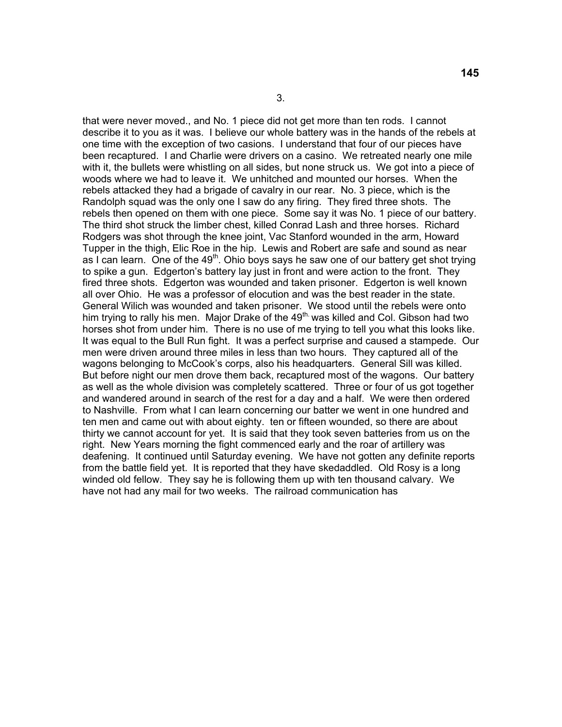that were never moved., and No. 1 piece did not get more than ten rods. I cannot describe it to you as it was. I believe our whole battery was in the hands of the rebels at one time with the exception of two casions. I understand that four of our pieces have been recaptured. I and Charlie were drivers on a casino. We retreated nearly one mile with it, the bullets were whistling on all sides, but none struck us. We got into a piece of woods where we had to leave it. We unhitched and mounted our horses. When the rebels attacked they had a brigade of cavalry in our rear. No. 3 piece, which is the Randolph squad was the only one I saw do any firing. They fired three shots. The rebels then opened on them with one piece. Some say it was No. 1 piece of our battery. The third shot struck the limber chest, killed Conrad Lash and three horses. Richard Rodgers was shot through the knee joint, Vac Stanford wounded in the arm, Howard Tupper in the thigh, Elic Roe in the hip. Lewis and Robert are safe and sound as near as I can learn. One of the  $49<sup>th</sup>$ . Ohio boys says he saw one of our battery get shot trying to spike a gun. Edgerton's battery lay just in front and were action to the front. They fired three shots. Edgerton was wounded and taken prisoner. Edgerton is well known all over Ohio. He was a professor of elocution and was the best reader in the state. General Wilich was wounded and taken prisoner. We stood until the rebels were onto him trying to rally his men. Major Drake of the 49<sup>th.</sup> was killed and Col. Gibson had two horses shot from under him. There is no use of me trying to tell you what this looks like. It was equal to the Bull Run fight. It was a perfect surprise and caused a stampede. Our men were driven around three miles in less than two hours. They captured all of the wagons belonging to McCook's corps, also his headquarters. General Sill was killed. But before night our men drove them back, recaptured most of the wagons. Our battery as well as the whole division was completely scattered. Three or four of us got together and wandered around in search of the rest for a day and a half. We were then ordered to Nashville. From what I can learn concerning our batter we went in one hundred and ten men and came out with about eighty. ten or fifteen wounded, so there are about thirty we cannot account for yet. It is said that they took seven batteries from us on the right. New Years morning the fight commenced early and the roar of artillery was deafening. It continued until Saturday evening. We have not gotten any definite reports from the battle field yet. It is reported that they have skedaddled. Old Rosy is a long winded old fellow. They say he is following them up with ten thousand calvary. We have not had any mail for two weeks. The railroad communication has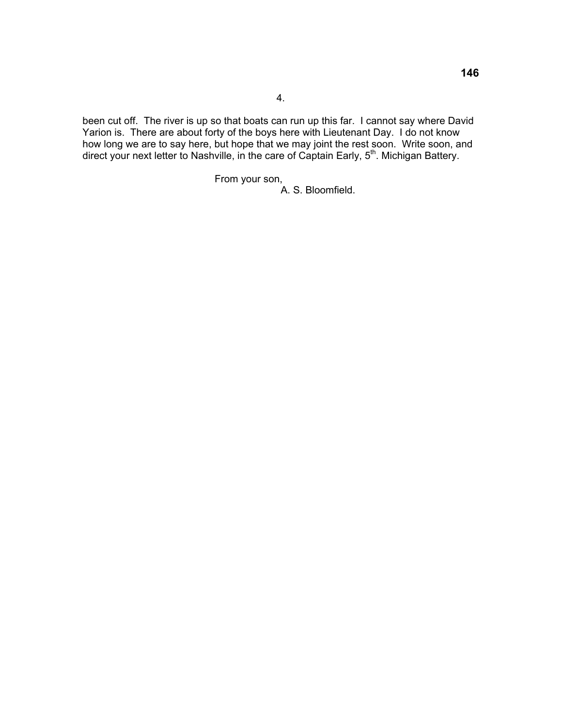been cut off. The river is up so that boats can run up this far. I cannot say where David Yarion is. There are about forty of the boys here with Lieutenant Day. I do not know how long we are to say here, but hope that we may joint the rest soon. Write soon, and direct your next letter to Nashville, in the care of Captain Early, 5<sup>th</sup>. Michigan Battery.

From your son,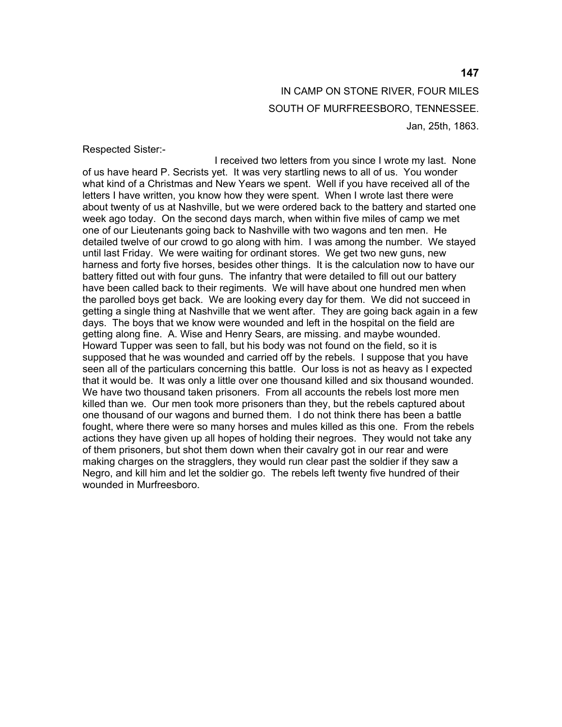## IN CAMP ON STONE RIVER, FOUR MILES SOUTH OF MURFREESBORO, TENNESSEE. Jan, 25th, 1863.

Respected Sister:-

 I received two letters from you since I wrote my last. None of us have heard P. Secrists yet. It was very startling news to all of us. You wonder what kind of a Christmas and New Years we spent. Well if you have received all of the letters I have written, you know how they were spent. When I wrote last there were about twenty of us at Nashville, but we were ordered back to the battery and started one week ago today. On the second days march, when within five miles of camp we met one of our Lieutenants going back to Nashville with two wagons and ten men. He detailed twelve of our crowd to go along with him. I was among the number. We stayed until last Friday. We were waiting for ordinant stores. We get two new guns, new harness and forty five horses, besides other things. It is the calculation now to have our battery fitted out with four guns. The infantry that were detailed to fill out our battery have been called back to their regiments. We will have about one hundred men when the parolled boys get back. We are looking every day for them. We did not succeed in getting a single thing at Nashville that we went after. They are going back again in a few days. The boys that we know were wounded and left in the hospital on the field are getting along fine. A. Wise and Henry Sears, are missing. and maybe wounded. Howard Tupper was seen to fall, but his body was not found on the field, so it is supposed that he was wounded and carried off by the rebels. I suppose that you have seen all of the particulars concerning this battle. Our loss is not as heavy as I expected that it would be. It was only a little over one thousand killed and six thousand wounded. We have two thousand taken prisoners. From all accounts the rebels lost more men killed than we. Our men took more prisoners than they, but the rebels captured about one thousand of our wagons and burned them. I do not think there has been a battle fought, where there were so many horses and mules killed as this one. From the rebels actions they have given up all hopes of holding their negroes. They would not take any of them prisoners, but shot them down when their cavalry got in our rear and were making charges on the stragglers, they would run clear past the soldier if they saw a Negro, and kill him and let the soldier go. The rebels left twenty five hundred of their wounded in Murfreesboro.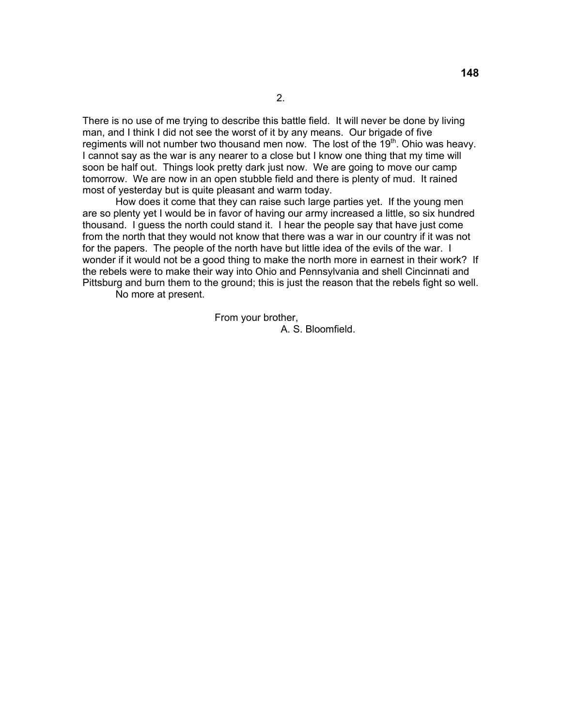There is no use of me trying to describe this battle field. It will never be done by living man, and I think I did not see the worst of it by any means. Our brigade of five regiments will not number two thousand men now. The lost of the  $19<sup>th</sup>$ . Ohio was heavy. I cannot say as the war is any nearer to a close but I know one thing that my time will soon be half out. Things look pretty dark just now. We are going to move our camp tomorrow. We are now in an open stubble field and there is plenty of mud. It rained most of yesterday but is quite pleasant and warm today.

 How does it come that they can raise such large parties yet. If the young men are so plenty yet I would be in favor of having our army increased a little, so six hundred thousand. I guess the north could stand it. I hear the people say that have just come from the north that they would not know that there was a war in our country if it was not for the papers. The people of the north have but little idea of the evils of the war. I wonder if it would not be a good thing to make the north more in earnest in their work? If the rebels were to make their way into Ohio and Pennsylvania and shell Cincinnati and Pittsburg and burn them to the ground; this is just the reason that the rebels fight so well.

No more at present.

 From your brother, A. S. Bloomfield.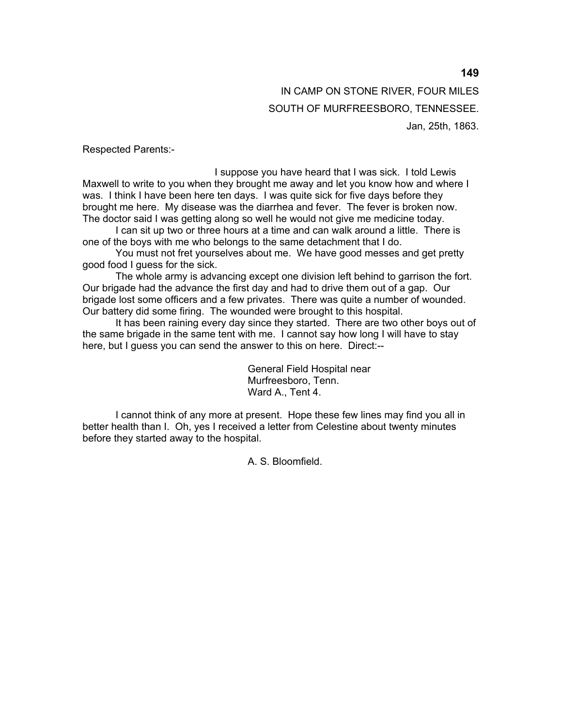IN CAMP ON STONE RIVER, FOUR MILES SOUTH OF MURFREESBORO, TENNESSEE. Jan, 25th, 1863.

Respected Parents:-

 I suppose you have heard that I was sick. I told Lewis Maxwell to write to you when they brought me away and let you know how and where I was. I think I have been here ten days. I was quite sick for five days before they brought me here. My disease was the diarrhea and fever. The fever is broken now. The doctor said I was getting along so well he would not give me medicine today.

 I can sit up two or three hours at a time and can walk around a little. There is one of the boys with me who belongs to the same detachment that I do.

 You must not fret yourselves about me. We have good messes and get pretty good food I guess for the sick.

 The whole army is advancing except one division left behind to garrison the fort. Our brigade had the advance the first day and had to drive them out of a gap. Our brigade lost some officers and a few privates. There was quite a number of wounded. Our battery did some firing. The wounded were brought to this hospital.

 It has been raining every day since they started. There are two other boys out of the same brigade in the same tent with me. I cannot say how long I will have to stay here, but I guess you can send the answer to this on here. Direct:--

> General Field Hospital near Murfreesboro, Tenn. Ward A., Tent 4.

 I cannot think of any more at present. Hope these few lines may find you all in better health than I. Oh, yes I received a letter from Celestine about twenty minutes before they started away to the hospital.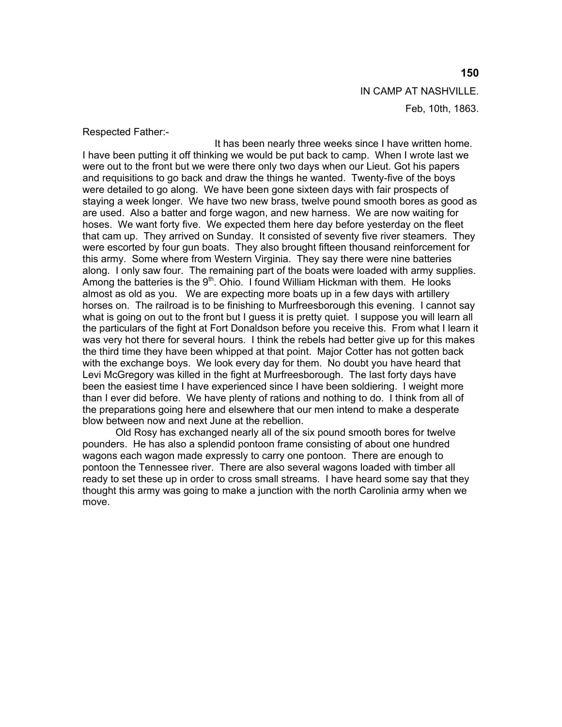IN CAMP AT NASHVILLE. Feb, 10th, 1863.

Respected Father:-

 It has been nearly three weeks since I have written home. I have been putting it off thinking we would be put back to camp. When I wrote last we were out to the front but we were there only two days when our Lieut. Got his papers and requisitions to go back and draw the things he wanted. Twenty-five of the boys were detailed to go along. We have been gone sixteen days with fair prospects of staying a week longer. We have two new brass, twelve pound smooth bores as good as are used. Also a batter and forge wagon, and new harness. We are now waiting for hoses. We want forty five. We expected them here day before yesterday on the fleet that cam up. They arrived on Sunday. It consisted of seventy five river steamers. They were escorted by four gun boats. They also brought fifteen thousand reinforcement for this army. Some where from Western Virginia. They say there were nine batteries along. I only saw four. The remaining part of the boats were loaded with army supplies. Among the batteries is the  $9<sup>th</sup>$ . Ohio. I found William Hickman with them. He looks almost as old as you. We are expecting more boats up in a few days with artillery horses on. The railroad is to be finishing to Murfreesborough this evening. I cannot say what is going on out to the front but I guess it is pretty quiet. I suppose you will learn all the particulars of the fight at Fort Donaldson before you receive this. From what I learn it was very hot there for several hours. I think the rebels had better give up for this makes the third time they have been whipped at that point. Major Cotter has not gotten back with the exchange boys. We look every day for them. No doubt you have heard that Levi McGregory was killed in the fight at Murfreesborough. The last forty days have been the easiest time I have experienced since I have been soldiering. I weight more than I ever did before. We have plenty of rations and nothing to do. I think from all of the preparations going here and elsewhere that our men intend to make a desperate blow between now and next June at the rebellion.

 Old Rosy has exchanged nearly all of the six pound smooth bores for twelve pounders. He has also a splendid pontoon frame consisting of about one hundred wagons each wagon made expressly to carry one pontoon. There are enough to pontoon the Tennessee river. There are also several wagons loaded with timber all ready to set these up in order to cross small streams. I have heard some say that they thought this army was going to make a junction with the north Carolinia army when we move.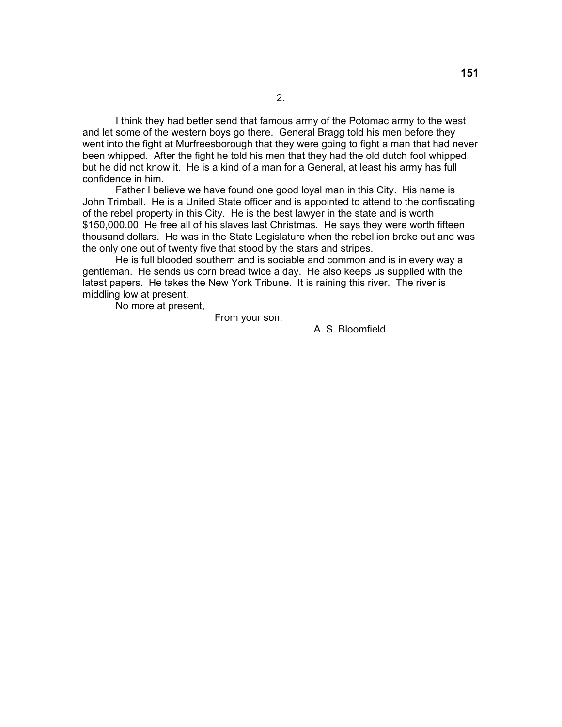I think they had better send that famous army of the Potomac army to the west and let some of the western boys go there. General Bragg told his men before they went into the fight at Murfreesborough that they were going to fight a man that had never been whipped. After the fight he told his men that they had the old dutch fool whipped, but he did not know it. He is a kind of a man for a General, at least his army has full confidence in him.

Father I believe we have found one good loyal man in this City. His name is John Trimball. He is a United State officer and is appointed to attend to the confiscating of the rebel property in this City. He is the best lawyer in the state and is worth \$150,000.00 He free all of his slaves last Christmas. He says they were worth fifteen thousand dollars. He was in the State Legislature when the rebellion broke out and was the only one out of twenty five that stood by the stars and stripes.

He is full blooded southern and is sociable and common and is in every way a gentleman. He sends us corn bread twice a day. He also keeps us supplied with the latest papers. He takes the New York Tribune. It is raining this river. The river is middling low at present.

No more at present,

From your son,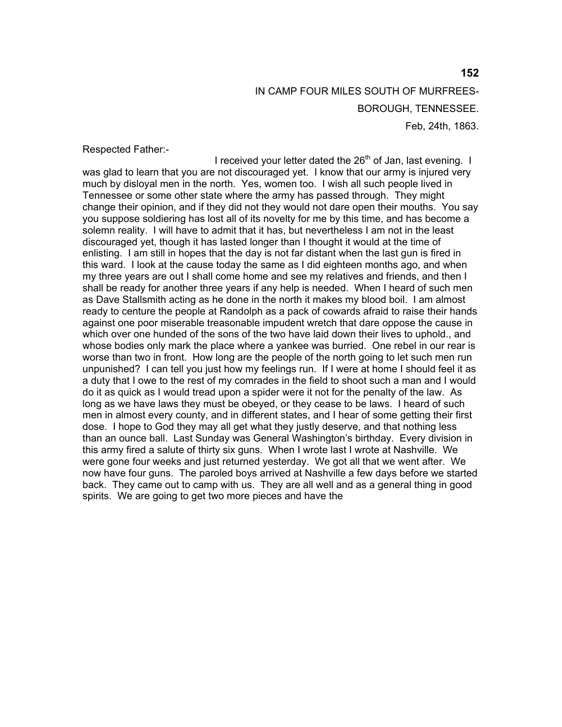# IN CAMP FOUR MILES SOUTH OF MURFREES-BOROUGH, TENNESSEE. Feb, 24th, 1863.

Respected Father:-

I received your letter dated the  $26<sup>th</sup>$  of Jan, last evening. I was glad to learn that you are not discouraged yet. I know that our army is injured very much by disloyal men in the north. Yes, women too. I wish all such people lived in Tennessee or some other state where the army has passed through. They might change their opinion, and if they did not they would not dare open their mouths. You say you suppose soldiering has lost all of its novelty for me by this time, and has become a solemn reality. I will have to admit that it has, but nevertheless I am not in the least discouraged yet, though it has lasted longer than I thought it would at the time of enlisting. I am still in hopes that the day is not far distant when the last gun is fired in this ward. I look at the cause today the same as I did eighteen months ago, and when my three years are out I shall come home and see my relatives and friends, and then I shall be ready for another three years if any help is needed. When I heard of such men as Dave Stallsmith acting as he done in the north it makes my blood boil. I am almost ready to centure the people at Randolph as a pack of cowards afraid to raise their hands against one poor miserable treasonable impudent wretch that dare oppose the cause in which over one hunded of the sons of the two have laid down their lives to uphold., and whose bodies only mark the place where a yankee was burried. One rebel in our rear is worse than two in front. How long are the people of the north going to let such men run unpunished? I can tell you just how my feelings run. If I were at home I should feel it as a duty that I owe to the rest of my comrades in the field to shoot such a man and I would do it as quick as I would tread upon a spider were it not for the penalty of the law. As long as we have laws they must be obeyed, or they cease to be laws. I heard of such men in almost every county, and in different states, and I hear of some getting their first dose. I hope to God they may all get what they justly deserve, and that nothing less than an ounce ball. Last Sunday was General Washington's birthday. Every division in this army fired a salute of thirty six guns. When I wrote last I wrote at Nashville. We were gone four weeks and just returned yesterday. We got all that we went after. We now have four guns. The paroled boys arrived at Nashville a few days before we started back. They came out to camp with us. They are all well and as a general thing in good spirits. We are going to get two more pieces and have the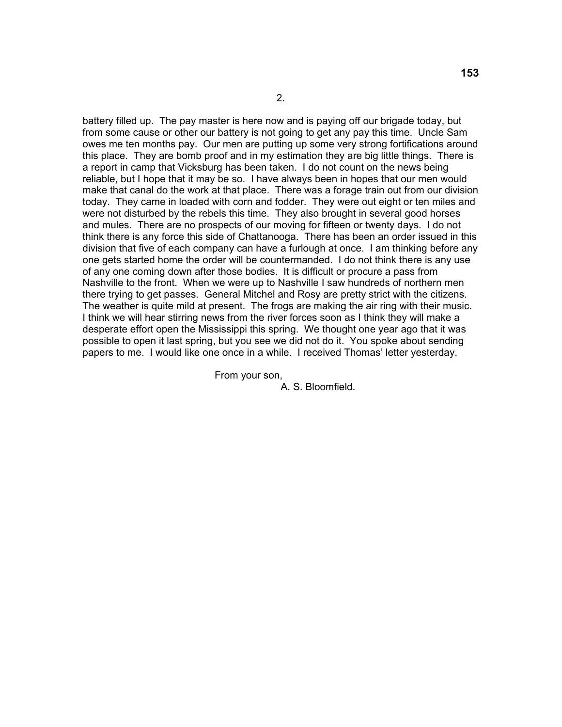battery filled up. The pay master is here now and is paying off our brigade today, but from some cause or other our battery is not going to get any pay this time. Uncle Sam owes me ten months pay. Our men are putting up some very strong fortifications around this place. They are bomb proof and in my estimation they are big little things. There is a report in camp that Vicksburg has been taken. I do not count on the news being reliable, but I hope that it may be so. I have always been in hopes that our men would make that canal do the work at that place. There was a forage train out from our division today. They came in loaded with corn and fodder. They were out eight or ten miles and were not disturbed by the rebels this time. They also brought in several good horses and mules. There are no prospects of our moving for fifteen or twenty days. I do not think there is any force this side of Chattanooga. There has been an order issued in this division that five of each company can have a furlough at once. I am thinking before any one gets started home the order will be countermanded. I do not think there is any use of any one coming down after those bodies. It is difficult or procure a pass from Nashville to the front. When we were up to Nashville I saw hundreds of northern men there trying to get passes. General Mitchel and Rosy are pretty strict with the citizens. The weather is quite mild at present. The frogs are making the air ring with their music. I think we will hear stirring news from the river forces soon as I think they will make a desperate effort open the Mississippi this spring. We thought one year ago that it was possible to open it last spring, but you see we did not do it. You spoke about sending papers to me. I would like one once in a while. I received Thomas' letter yesterday.

From your son,

A. S. Bloomfield.

2.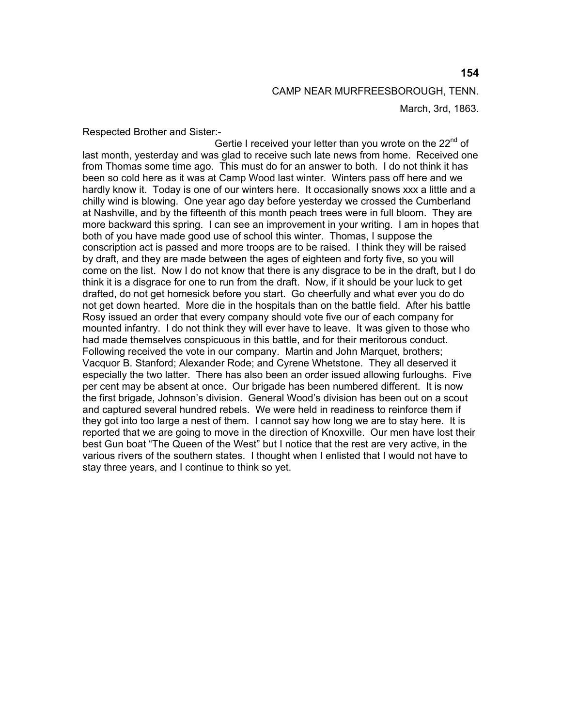Respected Brother and Sister:-

Gertie I received your letter than you wrote on the  $22<sup>nd</sup>$  of last month, yesterday and was glad to receive such late news from home. Received one from Thomas some time ago. This must do for an answer to both. I do not think it has been so cold here as it was at Camp Wood last winter. Winters pass off here and we hardly know it. Today is one of our winters here. It occasionally snows xxx a little and a chilly wind is blowing. One year ago day before yesterday we crossed the Cumberland at Nashville, and by the fifteenth of this month peach trees were in full bloom. They are more backward this spring. I can see an improvement in your writing. I am in hopes that both of you have made good use of school this winter. Thomas, I suppose the conscription act is passed and more troops are to be raised. I think they will be raised by draft, and they are made between the ages of eighteen and forty five, so you will come on the list. Now I do not know that there is any disgrace to be in the draft, but I do think it is a disgrace for one to run from the draft. Now, if it should be your luck to get drafted, do not get homesick before you start. Go cheerfully and what ever you do do not get down hearted. More die in the hospitals than on the battle field. After his battle Rosy issued an order that every company should vote five our of each company for mounted infantry. I do not think they will ever have to leave. It was given to those who had made themselves conspicuous in this battle, and for their meritorous conduct. Following received the vote in our company. Martin and John Marquet, brothers; Vacquor B. Stanford; Alexander Rode; and Cyrene Whetstone. They all deserved it especially the two latter. There has also been an order issued allowing furloughs. Five per cent may be absent at once. Our brigade has been numbered different. It is now the first brigade, Johnson's division. General Wood's division has been out on a scout and captured several hundred rebels. We were held in readiness to reinforce them if they got into too large a nest of them. I cannot say how long we are to stay here. It is reported that we are going to move in the direction of Knoxville. Our men have lost their best Gun boat "The Queen of the West" but I notice that the rest are very active, in the various rivers of the southern states. I thought when I enlisted that I would not have to stay three years, and I continue to think so yet.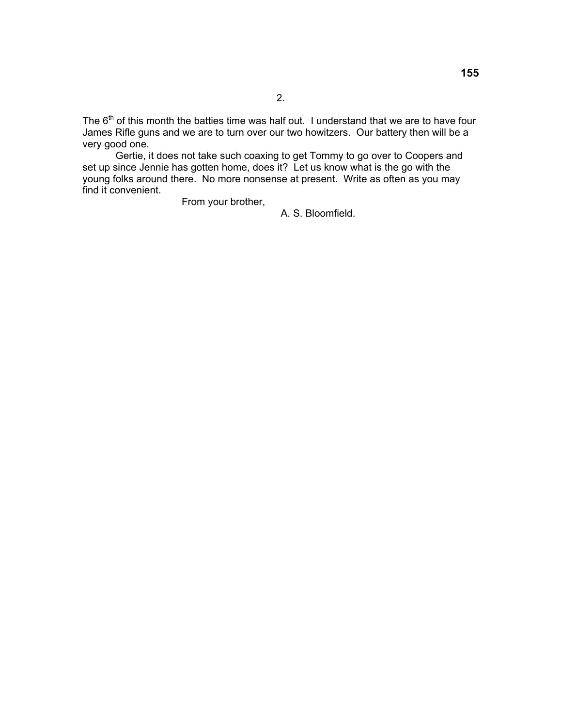The  $6<sup>th</sup>$  of this month the batties time was half out. I understand that we are to have four James Rifle guns and we are to turn over our two howitzers. Our battery then will be a very good one.

 Gertie, it does not take such coaxing to get Tommy to go over to Coopers and set up since Jennie has gotten home, does it? Let us know what is the go with the young folks around there. No more nonsense at present. Write as often as you may find it convenient.

From your brother,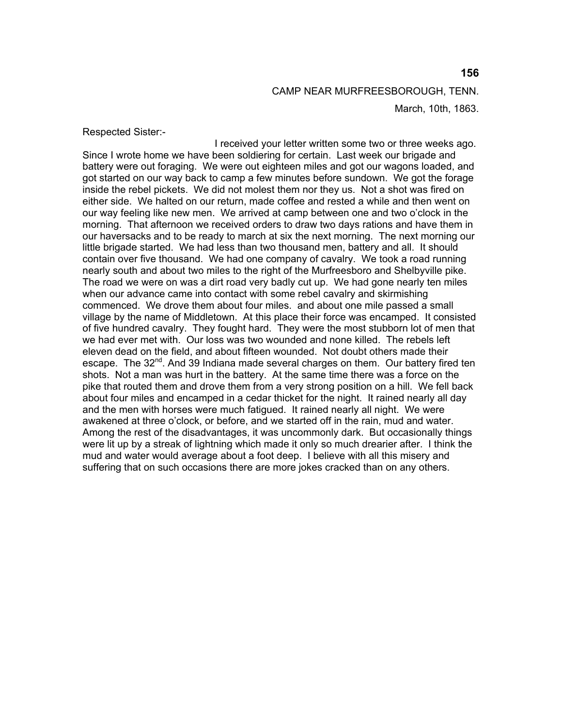Respected Sister:-

 I received your letter written some two or three weeks ago. Since I wrote home we have been soldiering for certain. Last week our brigade and battery were out foraging. We were out eighteen miles and got our wagons loaded, and got started on our way back to camp a few minutes before sundown. We got the forage inside the rebel pickets. We did not molest them nor they us. Not a shot was fired on either side. We halted on our return, made coffee and rested a while and then went on our way feeling like new men. We arrived at camp between one and two o'clock in the morning. That afternoon we received orders to draw two days rations and have them in our haversacks and to be ready to march at six the next morning. The next morning our little brigade started. We had less than two thousand men, battery and all. It should contain over five thousand. We had one company of cavalry. We took a road running nearly south and about two miles to the right of the Murfreesboro and Shelbyville pike. The road we were on was a dirt road very badly cut up. We had gone nearly ten miles when our advance came into contact with some rebel cavalry and skirmishing commenced. We drove them about four miles. and about one mile passed a small village by the name of Middletown. At this place their force was encamped. It consisted of five hundred cavalry. They fought hard. They were the most stubborn lot of men that we had ever met with. Our loss was two wounded and none killed. The rebels left eleven dead on the field, and about fifteen wounded. Not doubt others made their escape. The  $32^{nd}$ . And 39 Indiana made several charges on them. Our battery fired ten shots. Not a man was hurt in the battery. At the same time there was a force on the pike that routed them and drove them from a very strong position on a hill. We fell back about four miles and encamped in a cedar thicket for the night. It rained nearly all day and the men with horses were much fatigued. It rained nearly all night. We were awakened at three o'clock, or before, and we started off in the rain, mud and water. Among the rest of the disadvantages, it was uncommonly dark. But occasionally things were lit up by a streak of lightning which made it only so much drearier after. I think the mud and water would average about a foot deep. I believe with all this misery and suffering that on such occasions there are more jokes cracked than on any others.